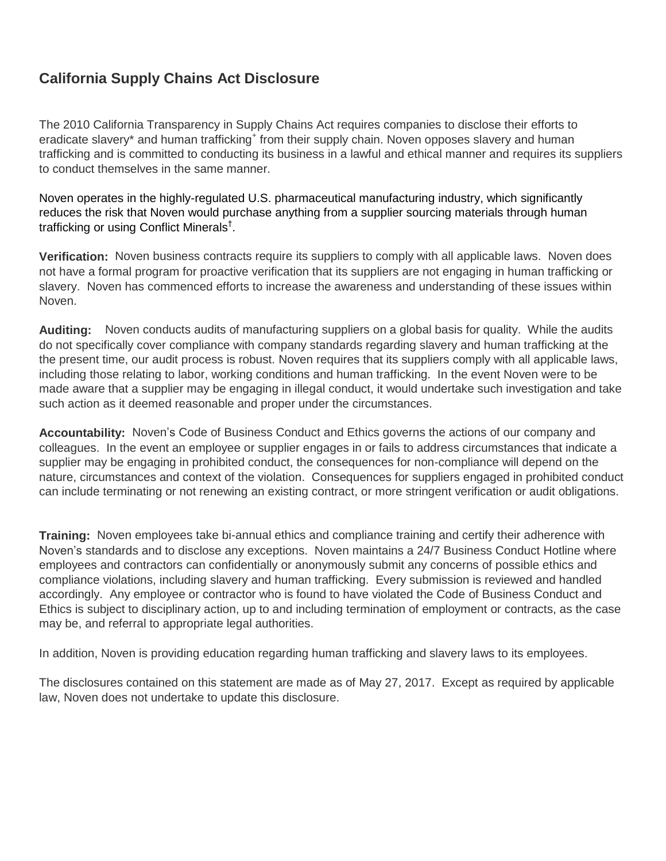## **California Supply Chains Act Disclosure**

The 2010 California Transparency in Supply Chains Act requires companies to disclose their efforts to eradicate slavery\* and human trafficking<sup>+</sup> from their supply chain. Noven opposes slavery and human trafficking and is committed to conducting its business in a lawful and ethical manner and requires its suppliers to conduct themselves in the same manner.

Noven operates in the highly-regulated U.S. pharmaceutical manufacturing industry, which significantly reduces the risk that Noven would purchase anything from a supplier sourcing materials through human trafficking or using Conflict Minerals<sup>†</sup>.

**Verification:** Noven business contracts require its suppliers to comply with all applicable laws. Noven does not have a formal program for proactive verification that its suppliers are not engaging in human trafficking or slavery. Noven has commenced efforts to increase the awareness and understanding of these issues within Noven.

**Auditing:** Noven conducts audits of manufacturing suppliers on a global basis for quality. While the audits do not specifically cover compliance with company standards regarding slavery and human trafficking at the the present time, our audit process is robust. Noven requires that its suppliers comply with all applicable laws, including those relating to labor, working conditions and human trafficking. In the event Noven were to be made aware that a supplier may be engaging in illegal conduct, it would undertake such investigation and take such action as it deemed reasonable and proper under the circumstances.

**Accountability:** Noven's Code of Business Conduct and Ethics governs the actions of our company and colleagues. In the event an employee or supplier engages in or fails to address circumstances that indicate a supplier may be engaging in prohibited conduct, the consequences for non-compliance will depend on the nature, circumstances and context of the violation. Consequences for suppliers engaged in prohibited conduct can include terminating or not renewing an existing contract, or more stringent verification or audit obligations.

**Training:** Noven employees take bi-annual ethics and compliance training and certify their adherence with Noven's standards and to disclose any exceptions. Noven maintains a 24/7 Business Conduct Hotline where employees and contractors can confidentially or anonymously submit any concerns of possible ethics and compliance violations, including slavery and human trafficking. Every submission is reviewed and handled accordingly. Any employee or contractor who is found to have violated the Code of Business Conduct and Ethics is subject to disciplinary action, up to and including termination of employment or contracts, as the case may be, and referral to appropriate legal authorities.

In addition, Noven is providing education regarding human trafficking and slavery laws to its employees.

The disclosures contained on this statement are made as of May 27, 2017. Except as required by applicable law, Noven does not undertake to update this disclosure.